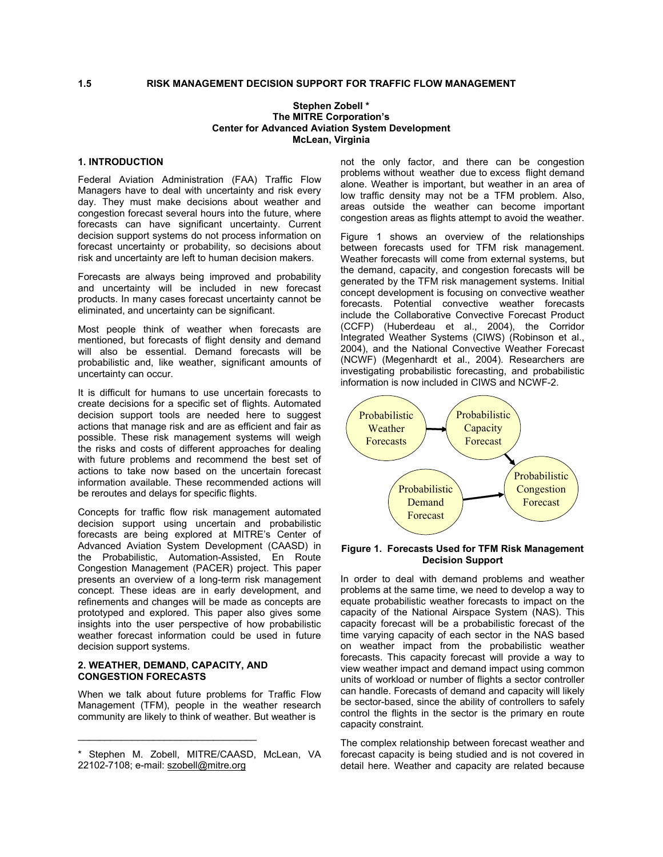# **1.5 RISK MANAGEMENT DECISION SUPPORT FOR TRAFFIC FLOW MANAGEMENT**

# **Stephen Zobell \* The MITRE Corporation's Center for Advanced Aviation System Development McLean, Virginia**

Federal Aviation Administration (FAA) Traffic Flow Managers have to deal with uncertainty and risk every day. They must make decisions about weather and congestion forecast several hours into the future, where forecasts can have significant uncertainty. Current decision support systems do not process information on forecast uncertainty or probability, so decisions about risk and uncertainty are left to human decision makers.

Forecasts are always being improved and probability and uncertainty will be included in new forecast products. In many cases forecast uncertainty cannot be eliminated, and uncertainty can be significant.

Most people think of weather when forecasts are mentioned, but forecasts of flight density and demand will also be essential. Demand forecasts will be probabilistic and, like weather, significant amounts of uncertainty can occur.

It is difficult for humans to use uncertain forecasts to create decisions for a specific set of flights. Automated decision support tools are needed here to suggest actions that manage risk and are as efficient and fair as possible. These risk management systems will weigh the risks and costs of different approaches for dealing with future problems and recommend the best set of actions to take now based on the uncertain forecast information available. These recommended actions will be reroutes and delays for specific flights.

Concepts for traffic flow risk management automated decision support using uncertain and probabilistic forecasts are being explored at MITRE's Center of Advanced Aviation System Development (CAASD) in the Probabilistic, Automation-Assisted, En Route Congestion Management (PACER) project. This paper presents an overview of a long-term risk management concept. These ideas are in early development, and refinements and changes will be made as concepts are prototyped and explored. This paper also gives some insights into the user perspective of how probabilistic weather forecast information could be used in future decision support systems.

## **2. WEATHER, DEMAND, CAPACITY, AND CONGESTION FORECASTS**

When we talk about future problems for Traffic Flow Management (TFM), people in the weather research community are likely to think of weather. But weather is

**1. INTRODUCTION** not the only factor, and there can be congestion problems without weather due to excess flight demand alone. Weather is important, but weather in an area of low traffic density may not be a TFM problem. Also, areas outside the weather can become important congestion areas as flights attempt to avoid the weather.

> Figure 1 shows an overview of the relationships between forecasts used for TFM risk management. Weather forecasts will come from external systems, but the demand, capacity, and congestion forecasts will be generated by the TFM risk management systems. Initial concept development is focusing on convective weather forecasts. Potential convective weather forecasts include the Collaborative Convective Forecast Product (CCFP) (Huberdeau et al., 2004), the Corridor Integrated Weather Systems (CIWS) (Robinson et al., 2004), and the National Convective Weather Forecast (NCWF) (Megenhardt et al., 2004). Researchers are investigating probabilistic forecasting, and probabilistic information is now included in CIWS and NCWF-2.



#### **Figure 1. Forecasts Used for TFM Risk Management Decision Support**

In order to deal with demand problems and weather problems at the same time, we need to develop a way to equate probabilistic weather forecasts to impact on the capacity of the National Airspace System (NAS). This capacity forecast will be a probabilistic forecast of the time varying capacity of each sector in the NAS based on weather impact from the probabilistic weather forecasts. This capacity forecast will provide a way to view weather impact and demand impact using common units of workload or number of flights a sector controller can handle. Forecasts of demand and capacity will likely be sector-based, since the ability of controllers to safely control the flights in the sector is the primary en route capacity constraint.

The complex relationship between forecast weather and forecast capacity is being studied and is not covered in detail here. Weather and capacity are related because

Stephen M. Zobell, MITRE/CAASD, McLean, VA 22102-7108; e-mail: [szobell@mitre.org](mailto:szobell@mitre.org)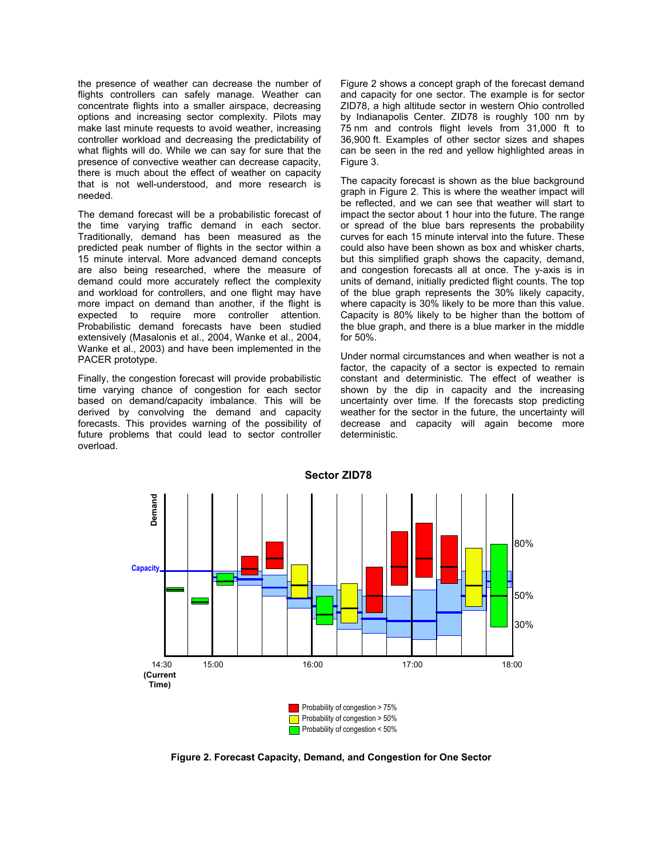the presence of weather can decrease the number of flights controllers can safely manage. Weather can concentrate flights into a smaller airspace, decreasing options and increasing sector complexity. Pilots may make last minute requests to avoid weather, increasing controller workload and decreasing the predictability of what flights will do. While we can say for sure that the presence of convective weather can decrease capacity, there is much about the effect of weather on capacity that is not well-understood, and more research is needed.

The demand forecast will be a probabilistic forecast of the time varying traffic demand in each sector. Traditionally, demand has been measured as the predicted peak number of flights in the sector within a 15 minute interval. More advanced demand concepts are also being researched, where the measure of demand could more accurately reflect the complexity and workload for controllers, and one flight may have more impact on demand than another, if the flight is expected to require more controller attention. Probabilistic demand forecasts have been studied extensively (Masalonis et al., 2004, Wanke et al., 2004, Wanke et al., 2003) and have been implemented in the PACER prototype.

Finally, the congestion forecast will provide probabilistic time varying chance of congestion for each sector based on demand/capacity imbalance. This will be derived by convolving the demand and capacity forecasts. This provides warning of the possibility of future problems that could lead to sector controller overload.

Figure 2 shows a concept graph of the forecast demand and capacity for one sector. The example is for sector ZID78, a high altitude sector in western Ohio controlled by Indianapolis Center. ZID78 is roughly 100 nm by 75 nm and controls flight levels from 31,000 ft to 36,900 ft. Examples of other sector sizes and shapes can be seen in the red and yellow highlighted areas in Figure 3.

The capacity forecast is shown as the blue background graph in Figure 2. This is where the weather impact will be reflected, and we can see that weather will start to impact the sector about 1 hour into the future. The range or spread of the blue bars represents the probability curves for each 15 minute interval into the future. These could also have been shown as box and whisker charts, but this simplified graph shows the capacity, demand, and congestion forecasts all at once. The y-axis is in units of demand, initially predicted flight counts. The top of the blue graph represents the 30% likely capacity, where capacity is 30% likely to be more than this value. Capacity is 80% likely to be higher than the bottom of the blue graph, and there is a blue marker in the middle for 50%.

Under normal circumstances and when weather is not a factor, the capacity of a sector is expected to remain constant and deterministic. The effect of weather is shown by the dip in capacity and the increasing uncertainty over time. If the forecasts stop predicting weather for the sector in the future, the uncertainty will decrease and capacity will again become more deterministic.



**Figure 2. Forecast Capacity, Demand, and Congestion for One Sector**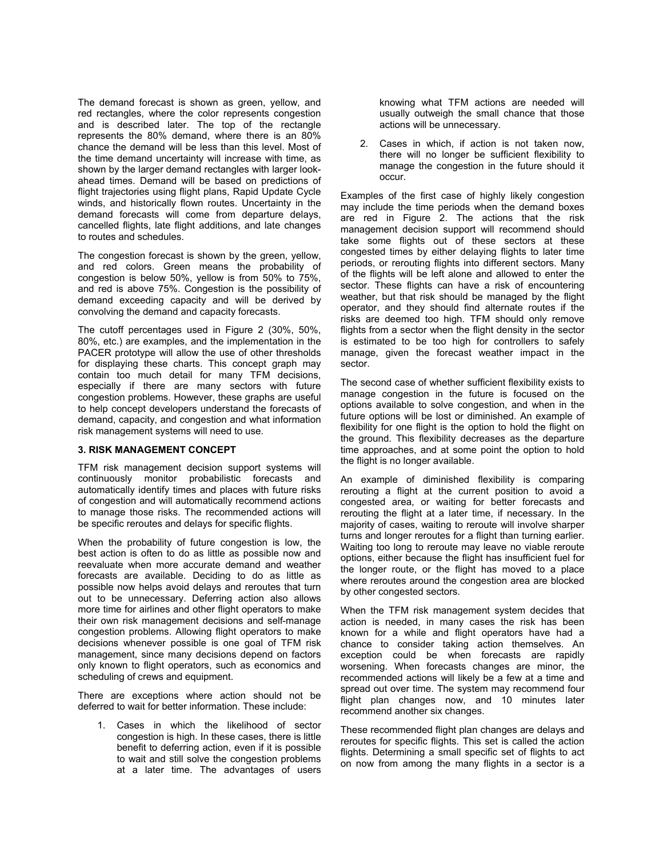The demand forecast is shown as green, yellow, and red rectangles, where the color represents congestion and is described later. The top of the rectangle represents the 80% demand, where there is an 80% chance the demand will be less than this level. Most of the time demand uncertainty will increase with time, as shown by the larger demand rectangles with larger lookahead times. Demand will be based on predictions of flight trajectories using flight plans, Rapid Update Cycle winds, and historically flown routes. Uncertainty in the demand forecasts will come from departure delays, cancelled flights, late flight additions, and late changes to routes and schedules.

The congestion forecast is shown by the green, yellow, and red colors. Green means the probability of congestion is below 50%, yellow is from 50% to 75%, and red is above 75%. Congestion is the possibility of demand exceeding capacity and will be derived by convolving the demand and capacity forecasts.

The cutoff percentages used in Figure 2 (30%, 50%, 80%, etc.) are examples, and the implementation in the PACER prototype will allow the use of other thresholds for displaying these charts. This concept graph may contain too much detail for many TFM decisions, especially if there are many sectors with future congestion problems. However, these graphs are useful to help concept developers understand the forecasts of demand, capacity, and congestion and what information risk management systems will need to use.

# **3. RISK MANAGEMENT CONCEPT**

TFM risk management decision support systems will continuously monitor probabilistic forecasts and automatically identify times and places with future risks of congestion and will automatically recommend actions to manage those risks. The recommended actions will be specific reroutes and delays for specific flights.

When the probability of future congestion is low, the best action is often to do as little as possible now and reevaluate when more accurate demand and weather forecasts are available. Deciding to do as little as possible now helps avoid delays and reroutes that turn out to be unnecessary. Deferring action also allows more time for airlines and other flight operators to make their own risk management decisions and self-manage congestion problems. Allowing flight operators to make decisions whenever possible is one goal of TFM risk management, since many decisions depend on factors only known to flight operators, such as economics and scheduling of crews and equipment.

There are exceptions where action should not be deferred to wait for better information. These include:

1. Cases in which the likelihood of sector congestion is high. In these cases, there is little benefit to deferring action, even if it is possible to wait and still solve the congestion problems at a later time. The advantages of users

knowing what TFM actions are needed will usually outweigh the small chance that those actions will be unnecessary.

2. Cases in which, if action is not taken now, there will no longer be sufficient flexibility to manage the congestion in the future should it occur.

Examples of the first case of highly likely congestion may include the time periods when the demand boxes are red in Figure 2. The actions that the risk management decision support will recommend should take some flights out of these sectors at these congested times by either delaying flights to later time periods, or rerouting flights into different sectors. Many of the flights will be left alone and allowed to enter the sector. These flights can have a risk of encountering weather, but that risk should be managed by the flight operator, and they should find alternate routes if the risks are deemed too high. TFM should only remove flights from a sector when the flight density in the sector is estimated to be too high for controllers to safely manage, given the forecast weather impact in the sector.

The second case of whether sufficient flexibility exists to manage congestion in the future is focused on the options available to solve congestion, and when in the future options will be lost or diminished. An example of flexibility for one flight is the option to hold the flight on the ground. This flexibility decreases as the departure time approaches, and at some point the option to hold the flight is no longer available.

An example of diminished flexibility is comparing rerouting a flight at the current position to avoid a congested area, or waiting for better forecasts and rerouting the flight at a later time, if necessary. In the majority of cases, waiting to reroute will involve sharper turns and longer reroutes for a flight than turning earlier. Waiting too long to reroute may leave no viable reroute options, either because the flight has insufficient fuel for the longer route, or the flight has moved to a place where reroutes around the congestion area are blocked by other congested sectors.

When the TFM risk management system decides that action is needed, in many cases the risk has been known for a while and flight operators have had a chance to consider taking action themselves. An exception could be when forecasts are rapidly worsening. When forecasts changes are minor, the recommended actions will likely be a few at a time and spread out over time. The system may recommend four flight plan changes now, and 10 minutes later recommend another six changes.

These recommended flight plan changes are delays and reroutes for specific flights. This set is called the action flights. Determining a small specific set of flights to act on now from among the many flights in a sector is a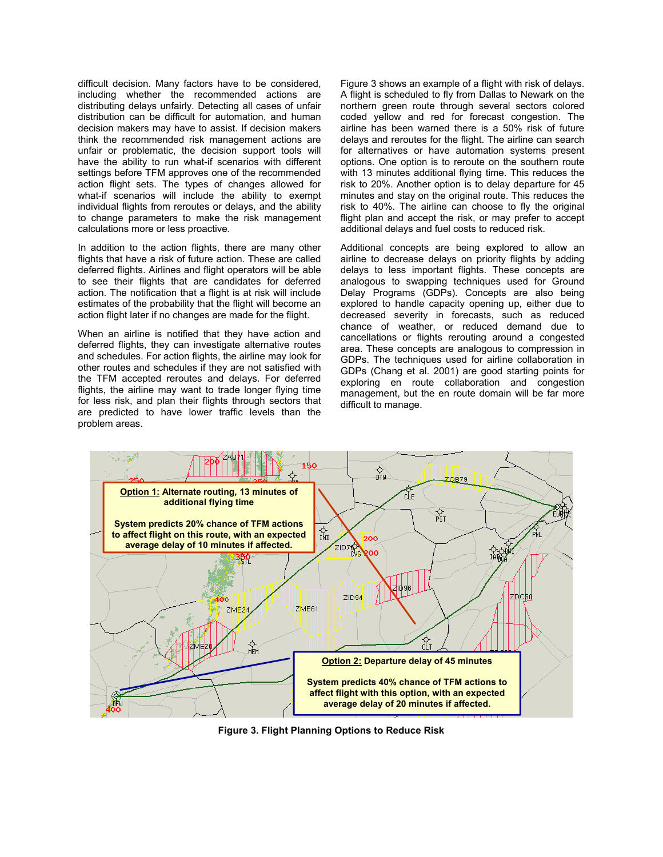difficult decision. Many factors have to be considered, including whether the recommended actions are distributing delays unfairly. Detecting all cases of unfair distribution can be difficult for automation, and human decision makers may have to assist. If decision makers think the recommended risk management actions are unfair or problematic, the decision support tools will have the ability to run what-if scenarios with different settings before TFM approves one of the recommended action flight sets. The types of changes allowed for what-if scenarios will include the ability to exempt individual flights from reroutes or delays, and the ability to change parameters to make the risk management calculations more or less proactive.

In addition to the action flights, there are many other flights that have a risk of future action. These are called deferred flights. Airlines and flight operators will be able to see their flights that are candidates for deferred action. The notification that a flight is at risk will include estimates of the probability that the flight will become an action flight later if no changes are made for the flight.

When an airline is notified that they have action and deferred flights, they can investigate alternative routes and schedules. For action flights, the airline may look for other routes and schedules if they are not satisfied with the TFM accepted reroutes and delays. For deferred flights, the airline may want to trade longer flying time for less risk, and plan their flights through sectors that are predicted to have lower traffic levels than the problem areas.

Figure 3 shows an example of a flight with risk of delays. A flight is scheduled to fly from Dallas to Newark on the northern green route through several sectors colored coded yellow and red for forecast congestion. The airline has been warned there is a 50% risk of future delays and reroutes for the flight. The airline can search for alternatives or have automation systems present options. One option is to reroute on the southern route with 13 minutes additional flying time. This reduces the risk to 20%. Another option is to delay departure for 45 minutes and stay on the original route. This reduces the risk to 40%. The airline can choose to fly the original flight plan and accept the risk, or may prefer to accept additional delays and fuel costs to reduced risk.

Additional concepts are being explored to allow an airline to decrease delays on priority flights by adding delays to less important flights. These concepts are analogous to swapping techniques used for Ground Delay Programs (GDPs). Concepts are also being explored to handle capacity opening up, either due to decreased severity in forecasts, such as reduced chance of weather, or reduced demand due to cancellations or flights rerouting around a congested area. These concepts are analogous to compression in GDPs. The techniques used for airline collaboration in GDPs (Chang et al. 2001) are good starting points for exploring en route collaboration and congestion management, but the en route domain will be far more difficult to manage.



**Figure 3. Flight Planning Options to Reduce Risk**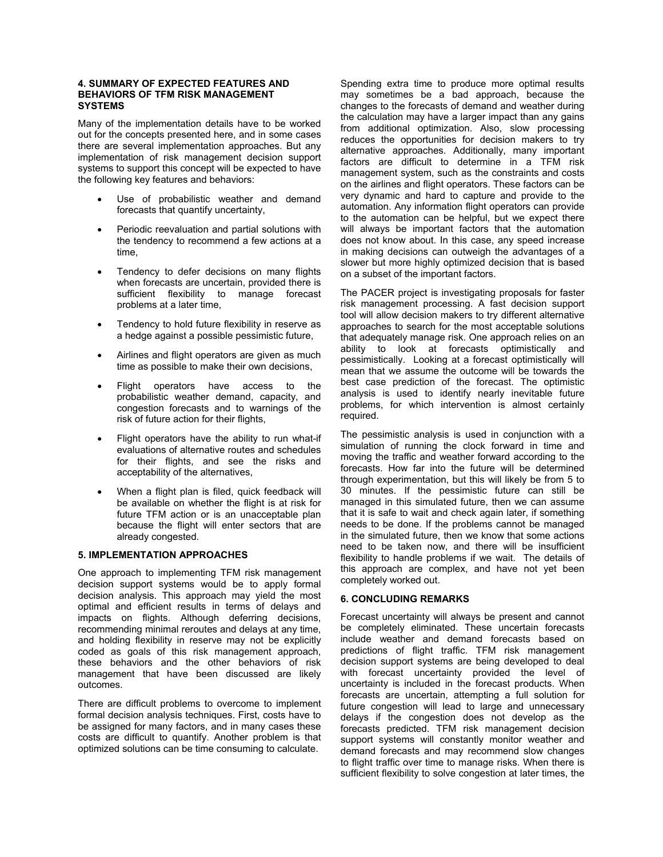## **4. SUMMARY OF EXPECTED FEATURES AND BEHAVIORS OF TFM RISK MANAGEMENT SYSTEMS**

Many of the implementation details have to be worked out for the concepts presented here, and in some cases there are several implementation approaches. But any implementation of risk management decision support systems to support this concept will be expected to have the following key features and behaviors:

- Use of probabilistic weather and demand forecasts that quantify uncertainty,
- Periodic reevaluation and partial solutions with the tendency to recommend a few actions at a time,
- Tendency to defer decisions on many flights when forecasts are uncertain, provided there is sufficient flexibility to manage forecast problems at a later time,
- Tendency to hold future flexibility in reserve as a hedge against a possible pessimistic future,
- Airlines and flight operators are given as much time as possible to make their own decisions,
- Flight operators have access to the probabilistic weather demand, capacity, and congestion forecasts and to warnings of the risk of future action for their flights,
- Flight operators have the ability to run what-if evaluations of alternative routes and schedules for their flights, and see the risks and acceptability of the alternatives,
- When a flight plan is filed, quick feedback will be available on whether the flight is at risk for future TFM action or is an unacceptable plan because the flight will enter sectors that are already congested.

# **5. IMPLEMENTATION APPROACHES**

One approach to implementing TFM risk management decision support systems would be to apply formal decision analysis. This approach may yield the most optimal and efficient results in terms of delays and impacts on flights. Although deferring decisions, recommending minimal reroutes and delays at any time, and holding flexibility in reserve may not be explicitly coded as goals of this risk management approach, these behaviors and the other behaviors of risk management that have been discussed are likely outcomes.

There are difficult problems to overcome to implement formal decision analysis techniques. First, costs have to be assigned for many factors, and in many cases these costs are difficult to quantify. Another problem is that optimized solutions can be time consuming to calculate.

Spending extra time to produce more optimal results may sometimes be a bad approach, because the changes to the forecasts of demand and weather during the calculation may have a larger impact than any gains from additional optimization. Also, slow processing reduces the opportunities for decision makers to try alternative approaches. Additionally, many important factors are difficult to determine in a TFM risk management system, such as the constraints and costs on the airlines and flight operators. These factors can be very dynamic and hard to capture and provide to the automation. Any information flight operators can provide to the automation can be helpful, but we expect there will always be important factors that the automation does not know about. In this case, any speed increase in making decisions can outweigh the advantages of a slower but more highly optimized decision that is based on a subset of the important factors.

The PACER project is investigating proposals for faster risk management processing. A fast decision support tool will allow decision makers to try different alternative approaches to search for the most acceptable solutions that adequately manage risk. One approach relies on an ability to look at forecasts optimistically and pessimistically. Looking at a forecast optimistically will mean that we assume the outcome will be towards the best case prediction of the forecast. The optimistic analysis is used to identify nearly inevitable future problems, for which intervention is almost certainly required.

The pessimistic analysis is used in conjunction with a simulation of running the clock forward in time and moving the traffic and weather forward according to the forecasts. How far into the future will be determined through experimentation, but this will likely be from 5 to 30 minutes. If the pessimistic future can still be managed in this simulated future, then we can assume that it is safe to wait and check again later, if something needs to be done. If the problems cannot be managed in the simulated future, then we know that some actions need to be taken now, and there will be insufficient flexibility to handle problems if we wait. The details of this approach are complex, and have not yet been completely worked out.

# **6. CONCLUDING REMARKS**

Forecast uncertainty will always be present and cannot be completely eliminated. These uncertain forecasts include weather and demand forecasts based on predictions of flight traffic. TFM risk management decision support systems are being developed to deal with forecast uncertainty provided the level of uncertainty is included in the forecast products. When forecasts are uncertain, attempting a full solution for future congestion will lead to large and unnecessary delays if the congestion does not develop as the forecasts predicted. TFM risk management decision support systems will constantly monitor weather and demand forecasts and may recommend slow changes to flight traffic over time to manage risks. When there is sufficient flexibility to solve congestion at later times, the